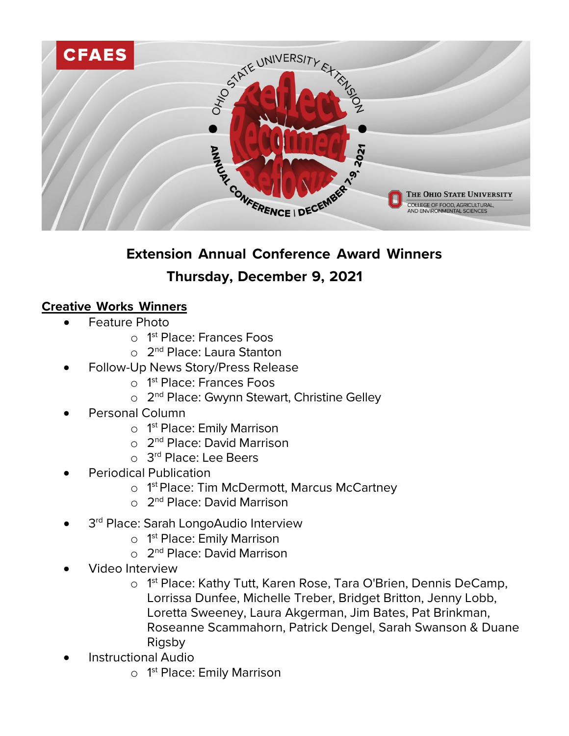

# **Extension Annual Conference Award Winners Thursday, December 9, 2021**

## **Creative Works Winners**

- Feature Photo
	- o 1<sup>st</sup> Place: Frances Foos
	- o 2<sup>nd</sup> Place: Laura Stanton
- Follow-Up News Story/Press Release
	- o 1<sup>st</sup> Place: Frances Foos
	- o 2<sup>nd</sup> Place: Gwynn Stewart, Christine Gelley
- Personal Column
	- o 1<sup>st</sup> Place: Emily Marrison
	- o 2nd Place: David Marrison
	- o 3<sup>rd</sup> Place: Lee Beers
- Periodical Publication
	- o 1<sup>st</sup> Place: Tim McDermott, Marcus McCartney
	- o 2<sup>nd</sup> Place: David Marrison
- 3<sup>rd</sup> Place: Sarah LongoAudio Interview
	- o 1<sup>st</sup> Place: Emily Marrison
	- o 2<sup>nd</sup> Place: David Marrison
- Video Interview
	- o 1 st Place: Kathy Tutt, Karen Rose, Tara O'Brien, Dennis DeCamp, Lorrissa Dunfee, Michelle Treber, Bridget Britton, Jenny Lobb, Loretta Sweeney, Laura Akgerman, Jim Bates, Pat Brinkman, Roseanne Scammahorn, Patrick Dengel, Sarah Swanson & Duane Rigsby
- Instructional Audio
	- o 1<sup>st</sup> Place: Emily Marrison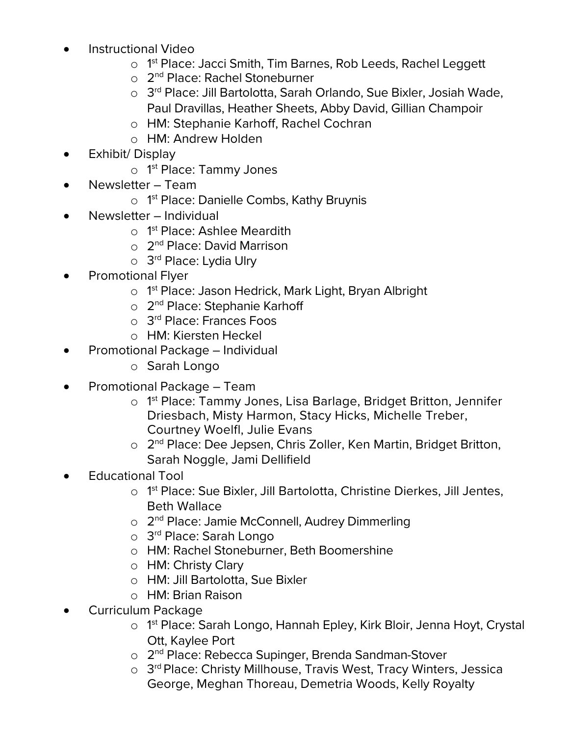- Instructional Video
	- o 1<sup>st</sup> Place: Jacci Smith, Tim Barnes, Rob Leeds, Rachel Leggett
	- o 2<sup>nd</sup> Place: Rachel Stoneburner
	- o 3rd Place: Jill Bartolotta, Sarah Orlando, Sue Bixler, Josiah Wade, Paul Dravillas, Heather Sheets, Abby David, Gillian Champoir
	- o HM: Stephanie Karhoff, Rachel Cochran
	- o HM: Andrew Holden
- Exhibit/ Display
	- o 1<sup>st</sup> Place: Tammy Jones
- Newsletter Team
	- o 1 st Place: Danielle Combs, Kathy Bruynis
- Newsletter Individual
	- o 1<sup>st</sup> Place: Ashlee Meardith
	- o 2nd Place: David Marrison
	- o 3<sup>rd</sup> Place: Lydia Ulry
- Promotional Flyer
	- o 1<sup>st</sup> Place: Jason Hedrick, Mark Light, Bryan Albright
	- o 2<sup>nd</sup> Place: Stephanie Karhoff
	- o 3rd Place: Frances Foos
	- o HM: Kiersten Heckel
- Promotional Package Individual
	- o Sarah Longo
- Promotional Package Team
	- o 1 st Place: Tammy Jones, Lisa Barlage, Bridget Britton, Jennifer Driesbach, Misty Harmon, Stacy Hicks, Michelle Treber, Courtney Woelfl, Julie Evans
	- o 2<sup>nd</sup> Place: Dee Jepsen, Chris Zoller, Ken Martin, Bridget Britton, Sarah Noggle, Jami Dellifield
- Educational Tool
	- o 1<sup>st</sup> Place: Sue Bixler, Jill Bartolotta, Christine Dierkes, Jill Jentes, Beth Wallace
	- o 2nd Place: Jamie McConnell, Audrey Dimmerling
	- o 3rd Place: Sarah Longo
	- o HM: Rachel Stoneburner, Beth Boomershine
	- o HM: Christy Clary
	- o HM: Jill Bartolotta, Sue Bixler
	- o HM: Brian Raison
- Curriculum Package
	- o 1 st Place: Sarah Longo, Hannah Epley, Kirk Bloir, Jenna Hoyt, Crystal Ott, Kaylee Port
	- o 2nd Place: Rebecca Supinger, Brenda Sandman-Stover
	- o 3rd Place: Christy Millhouse, Travis West, Tracy Winters, Jessica George, Meghan Thoreau, Demetria Woods, Kelly Royalty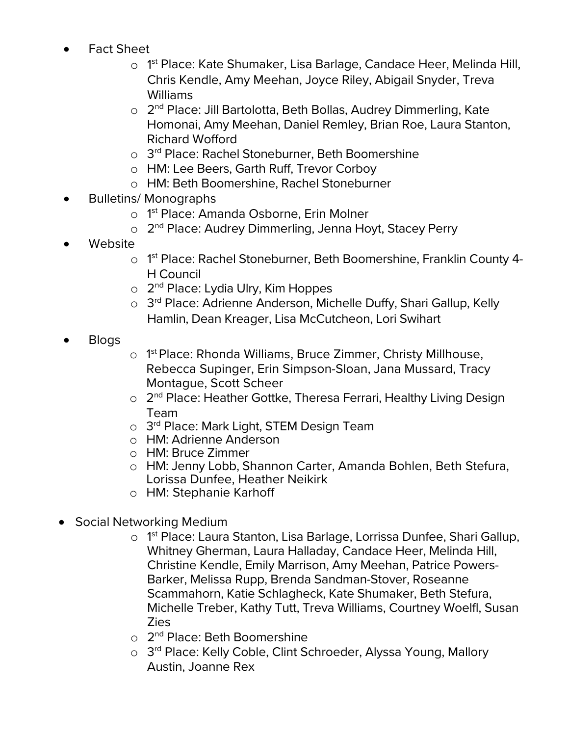- Fact Sheet
	- o 1<sup>st</sup> Place: Kate Shumaker, Lisa Barlage, Candace Heer, Melinda Hill, Chris Kendle, Amy Meehan, Joyce Riley, Abigail Snyder, Treva Williams
	- o 2<sup>nd</sup> Place: Jill Bartolotta, Beth Bollas, Audrey Dimmerling, Kate Homonai, Amy Meehan, Daniel Remley, Brian Roe, Laura Stanton, Richard Wofford
	- o 3<sup>rd</sup> Place: Rachel Stoneburner, Beth Boomershine
	- o HM: Lee Beers, Garth Ruff, Trevor Corboy
	- o HM: Beth Boomershine, Rachel Stoneburner
- Bulletins/ Monographs
	- o 1 st Place: Amanda Osborne, Erin Molner
	- o 2nd Place: Audrey Dimmerling, Jenna Hoyt, Stacey Perry
- Website
	- o 1<sup>st</sup> Place: Rachel Stoneburner, Beth Boomershine, Franklin County 4-H Council
	- o 2<sup>nd</sup> Place: Lydia Ulry, Kim Hoppes
	- o 3<sup>rd</sup> Place: Adrienne Anderson, Michelle Duffy, Shari Gallup, Kelly Hamlin, Dean Kreager, Lisa McCutcheon, Lori Swihart
- Blogs
- o 1 st Place: Rhonda Williams, Bruce Zimmer, Christy Millhouse, Rebecca Supinger, Erin Simpson-Sloan, Jana Mussard, Tracy Montague, Scott Scheer
- o 2<sup>nd</sup> Place: Heather Gottke, Theresa Ferrari, Healthy Living Design Team
- o 3<sup>rd</sup> Place: Mark Light, STEM Design Team
- o HM: Adrienne Anderson
- o HM: Bruce Zimmer
- o HM: Jenny Lobb, Shannon Carter, Amanda Bohlen, Beth Stefura, Lorissa Dunfee, Heather Neikirk
- o HM: Stephanie Karhoff
- Social Networking Medium
	- o 1 st Place: Laura Stanton, Lisa Barlage, Lorrissa Dunfee, Shari Gallup, Whitney Gherman, Laura Halladay, Candace Heer, Melinda Hill, Christine Kendle, Emily Marrison, Amy Meehan, Patrice Powers-Barker, Melissa Rupp, Brenda Sandman-Stover, Roseanne Scammahorn, Katie Schlagheck, Kate Shumaker, Beth Stefura, Michelle Treber, Kathy Tutt, Treva Williams, Courtney Woelfl, Susan Zies
	- $\circ$  2<sup>nd</sup> Place: Beth Boomershine
	- o 3<sup>rd</sup> Place: Kelly Coble, Clint Schroeder, Alyssa Young, Mallory Austin, Joanne Rex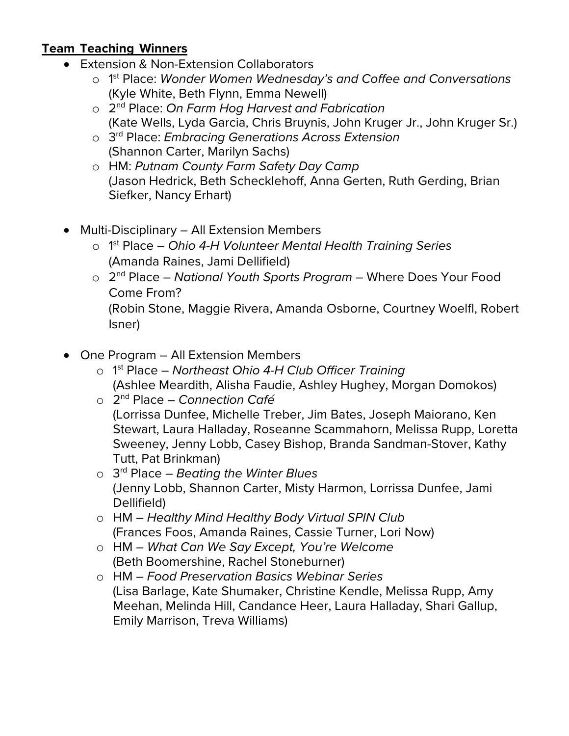## **Team Teaching Winners**

- Extension & Non-Extension Collaborators
	- o 1 st Place: *Wonder Women Wednesday's and Coffee and Conversations* (Kyle White, Beth Flynn, Emma Newell)
	- o 2nd Place: *On Farm Hog Harvest and Fabrication* (Kate Wells, Lyda Garcia, Chris Bruynis, John Kruger Jr., John Kruger Sr.)
	- o 3rd Place: *Embracing Generations Across Extension* (Shannon Carter, Marilyn Sachs)
	- o HM: *Putnam County Farm Safety Day Camp* (Jason Hedrick, Beth Schecklehoff, Anna Gerten, Ruth Gerding, Brian Siefker, Nancy Erhart)
- Multi-Disciplinary All Extension Members
	- o 1 st Place *Ohio 4-H Volunteer Mental Health Training Series* (Amanda Raines, Jami Dellifield)
	- o 2nd Place *National Youth Sports Program* Where Does Your Food Come From? (Robin Stone, Maggie Rivera, Amanda Osborne, Courtney Woelfl, Robert Isner)
- One Program All Extension Members
	- o 1 st Place *Northeast Ohio 4-H Club Officer Training* (Ashlee Meardith, Alisha Faudie, Ashley Hughey, Morgan Domokos)
	- o 2nd Place *Connection Café* (Lorrissa Dunfee, Michelle Treber, Jim Bates, Joseph Maiorano, Ken Stewart, Laura Halladay, Roseanne Scammahorn, Melissa Rupp, Loretta Sweeney, Jenny Lobb, Casey Bishop, Branda Sandman-Stover, Kathy Tutt, Pat Brinkman)
	- o 3rd Place *Beating the Winter Blues* (Jenny Lobb, Shannon Carter, Misty Harmon, Lorrissa Dunfee, Jami Dellifield)
	- o HM *Healthy Mind Healthy Body Virtual SPIN Club* (Frances Foos, Amanda Raines, Cassie Turner, Lori Now)
	- o HM *What Can We Say Except, You're Welcome* (Beth Boomershine, Rachel Stoneburner)
	- o HM *Food Preservation Basics Webinar Series* (Lisa Barlage, Kate Shumaker, Christine Kendle, Melissa Rupp, Amy Meehan, Melinda Hill, Candance Heer, Laura Halladay, Shari Gallup, Emily Marrison, Treva Williams)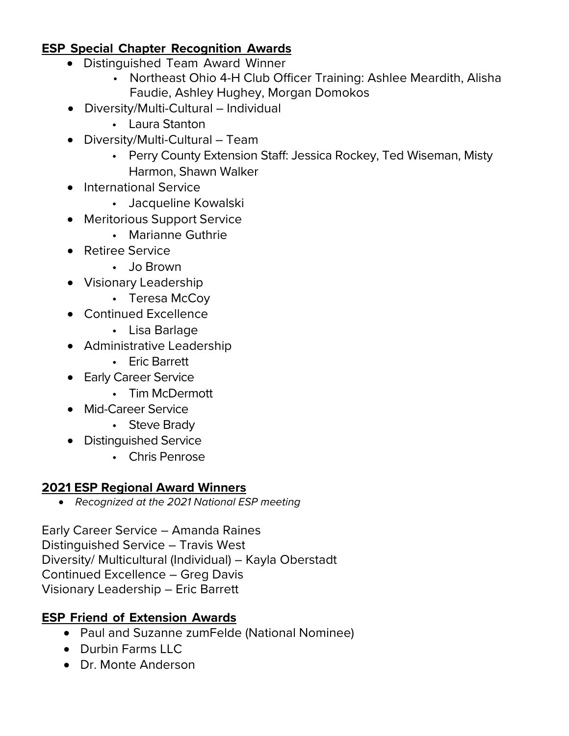## **ESP Special Chapter Recognition Awards**

- Distinguished Team Award Winner
	- Northeast Ohio 4-H Club Officer Training: Ashlee Meardith, Alisha Faudie, Ashley Hughey, Morgan Domokos
- Diversity/Multi-Cultural Individual
	- Laura Stanton
- Diversity/Multi-Cultural Team
	- Perry County Extension Staff: Jessica Rockey, Ted Wiseman, Misty Harmon, Shawn Walker
- International Service
	- Jacqueline Kowalski
- Meritorious Support Service
	- Marianne Guthrie
- Retiree Service
	- Jo Brown
- Visionary Leadership
	- Teresa McCoy
- Continued Excellence
	- Lisa Barlage
- Administrative Leadership
	- Eric Barrett
- Early Career Service
	- Tim McDermott
- Mid-Career Service
	- Steve Brady
- Distinguished Service
	- Chris Penrose

## **2021 ESP Regional Award Winners**

• *Recognized at the 2021 National ESP meeting*

Early Career Service – Amanda Raines Distinguished Service – Travis West Diversity/ Multicultural (Individual) – Kayla Oberstadt Continued Excellence – Greg Davis Visionary Leadership – Eric Barrett

# **ESP Friend of Extension Awards**

- Paul and Suzanne zumFelde (National Nominee)
- Durbin Farms LLC
- Dr. Monte Anderson